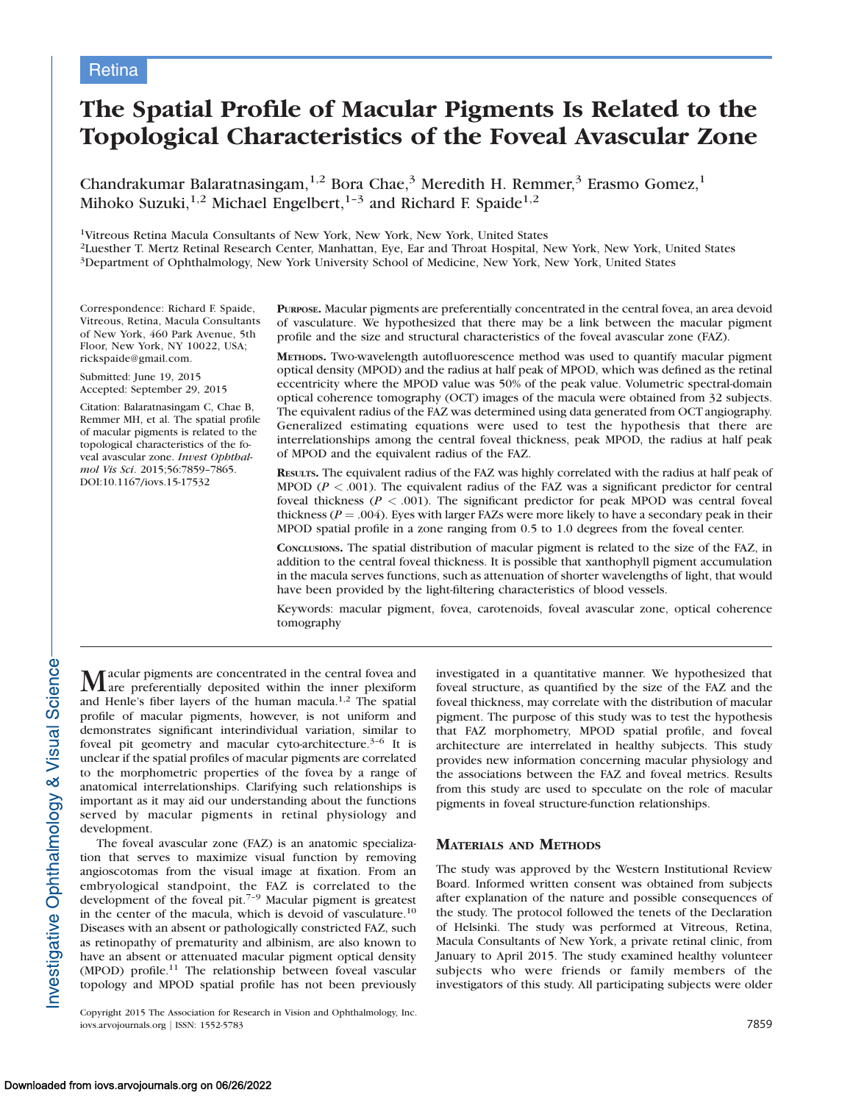# **Retina**

# The Spatial Profile of Macular Pigments Is Related to the Topological Characteristics of the Foveal Avascular Zone

Chandrakumar Balaratnasingam,<sup>1,2</sup> Bora Chae,<sup>3</sup> Meredith H. Remmer,<sup>3</sup> Erasmo Gomez,<sup>1</sup> Mihoko Suzuki,<sup>1,2</sup> Michael Engelbert,<sup>1-3</sup> and Richard F. Spaide<sup>1,2</sup>

1Vitreous Retina Macula Consultants of New York, New York, New York, United States

2Luesther T. Mertz Retinal Research Center, Manhattan, Eye, Ear and Throat Hospital, New York, New York, United States 3Department of Ophthalmology, New York University School of Medicine, New York, New York, United States

Correspondence: Richard F. Spaide, Vitreous, Retina, Macula Consultants of New York, 460 Park Avenue, 5th Floor, New York, NY 10022, USA; rickspaide@gmail.com.

Submitted: June 19, 2015 Accepted: September 29, 2015

Citation: Balaratnasingam C, Chae B, Remmer MH, et al. The spatial profile of macular pigments is related to the topological characteristics of the foveal avascular zone. Invest Ophthalmol Vis Sci. 2015;56:7859–7865. DOI:10.1167/iovs.15-17532

PURPOSE. Macular pigments are preferentially concentrated in the central fovea, an area devoid of vasculature. We hypothesized that there may be a link between the macular pigment profile and the size and structural characteristics of the foveal avascular zone (FAZ).

METHODS. Two-wavelength autofluorescence method was used to quantify macular pigment optical density (MPOD) and the radius at half peak of MPOD, which was defined as the retinal eccentricity where the MPOD value was 50% of the peak value. Volumetric spectral-domain optical coherence tomography (OCT) images of the macula were obtained from 32 subjects. The equivalent radius of the FAZ was determined using data generated from OCT angiography. Generalized estimating equations were used to test the hypothesis that there are interrelationships among the central foveal thickness, peak MPOD, the radius at half peak of MPOD and the equivalent radius of the FAZ.

RESULTS. The equivalent radius of the FAZ was highly correlated with the radius at half peak of MPOD ( $P < .001$ ). The equivalent radius of the FAZ was a significant predictor for central foveal thickness ( $P < .001$ ). The significant predictor for peak MPOD was central foveal thickness ( $P = .004$ ). Eyes with larger FAZs were more likely to have a secondary peak in their MPOD spatial profile in a zone ranging from 0.5 to 1.0 degrees from the foveal center.

CONCLUSIONS. The spatial distribution of macular pigment is related to the size of the FAZ, in addition to the central foveal thickness. It is possible that xanthophyll pigment accumulation in the macula serves functions, such as attenuation of shorter wavelengths of light, that would have been provided by the light-filtering characteristics of blood vessels.

Keywords: macular pigment, fovea, carotenoids, foveal avascular zone, optical coherence tomography

**M** acular pigments are concentrated in the central fovea and are preferentially deposited within the inner plexiform and Henle's fiber layers of the human macula.<sup>1,2</sup> The spatial profile of macular pigments, however, is not uniform and demonstrates significant interindividual variation, similar to foveal pit geometry and macular cyto-architecture.<sup>3-6</sup> It is unclear if the spatial profiles of macular pigments are correlated to the morphometric properties of the fovea by a range of anatomical interrelationships. Clarifying such relationships is important as it may aid our understanding about the functions served by macular pigments in retinal physiology and development.

The foveal avascular zone (FAZ) is an anatomic specialization that serves to maximize visual function by removing angioscotomas from the visual image at fixation. From an embryological standpoint, the FAZ is correlated to the development of the foveal pit.7–9 Macular pigment is greatest in the center of the macula, which is devoid of vasculature.<sup>10</sup> Diseases with an absent or pathologically constricted FAZ, such as retinopathy of prematurity and albinism, are also known to have an absent or attenuated macular pigment optical density (MPOD) profile.<sup>11</sup> The relationship between foveal vascular topology and MPOD spatial profile has not been previously

Copyright 2015 The Association for Research in Vision and Ophthalmology, Inc. iovs.arvojournals.org j ISSN: 1552-5783 7859

investigated in a quantitative manner. We hypothesized that foveal structure, as quantified by the size of the FAZ and the foveal thickness, may correlate with the distribution of macular pigment. The purpose of this study was to test the hypothesis that FAZ morphometry, MPOD spatial profile, and foveal architecture are interrelated in healthy subjects. This study provides new information concerning macular physiology and the associations between the FAZ and foveal metrics. Results from this study are used to speculate on the role of macular pigments in foveal structure-function relationships.

## MATERIALS AND METHODS

The study was approved by the Western Institutional Review Board. Informed written consent was obtained from subjects after explanation of the nature and possible consequences of the study. The protocol followed the tenets of the Declaration of Helsinki. The study was performed at Vitreous, Retina, Macula Consultants of New York, a private retinal clinic, from January to April 2015. The study examined healthy volunteer subjects who were friends or family members of the investigators of this study. All participating subjects were older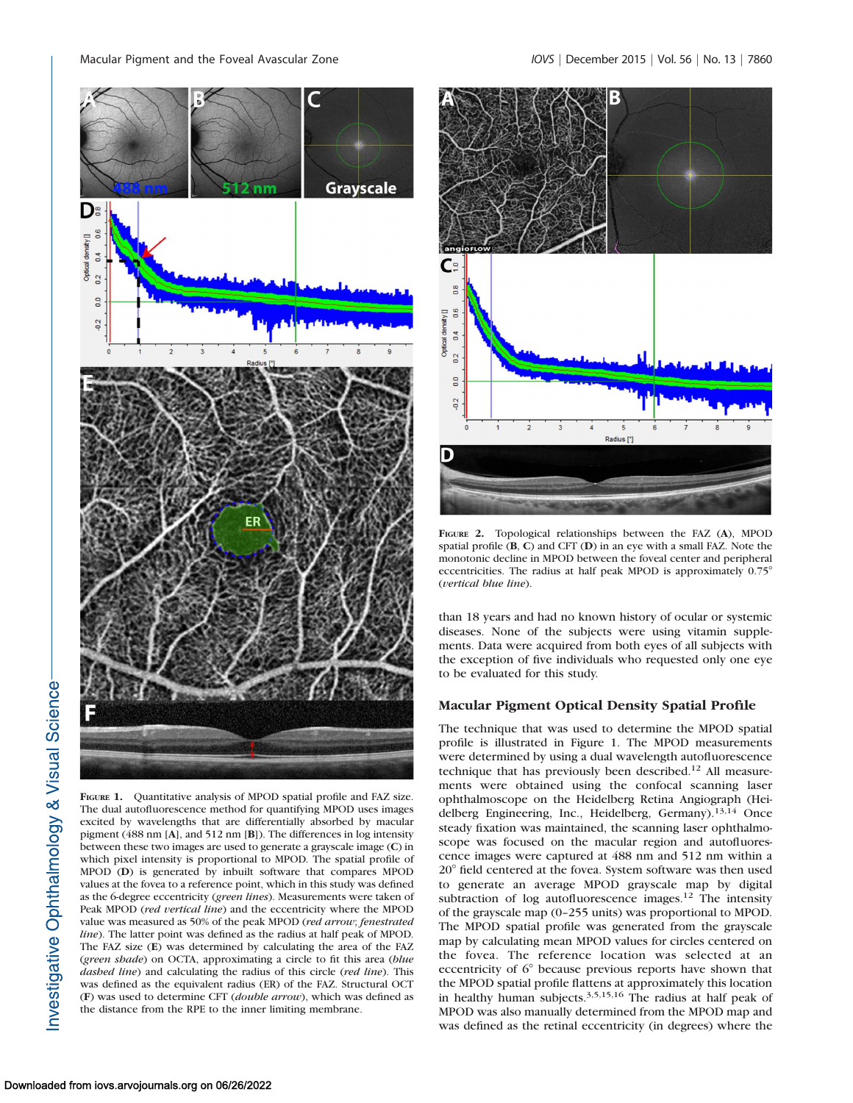

FIGURE 1. Quantitative analysis of MPOD spatial profile and FAZ size. The dual autofluorescence method for quantifying MPOD uses images excited by wavelengths that are differentially absorbed by macular pigment (488 nm [A], and 512 nm [B]). The differences in log intensity between these two images are used to generate a grayscale image (C) in which pixel intensity is proportional to MPOD. The spatial profile of MPOD (D) is generated by inbuilt software that compares MPOD values at the fovea to a reference point, which in this study was defined as the 6-degree eccentricity (green lines). Measurements were taken of Peak MPOD (red vertical line) and the eccentricity where the MPOD value was measured as 50% of the peak MPOD (red arrow; fenestrated line). The latter point was defined as the radius at half peak of MPOD. The FAZ size (E) was determined by calculating the area of the FAZ (green shade) on OCTA, approximating a circle to fit this area (blue dashed line) and calculating the radius of this circle (red line). This was defined as the equivalent radius (ER) of the FAZ. Structural OCT (F) was used to determine CFT (double arrow), which was defined as the distance from the RPE to the inner limiting membrane.



FIGURE 2. Topological relationships between the FAZ (A), MPOD spatial profile (B, C) and CFT (D) in an eye with a small FAZ. Note the monotonic decline in MPOD between the foveal center and peripheral eccentricities. The radius at half peak MPOD is approximately 0.75° (vertical blue line).

than 18 years and had no known history of ocular or systemic diseases. None of the subjects were using vitamin supplements. Data were acquired from both eyes of all subjects with the exception of five individuals who requested only one eye to be evaluated for this study.

## Macular Pigment Optical Density Spatial Profile

The technique that was used to determine the MPOD spatial profile is illustrated in Figure 1. The MPOD measurements were determined by using a dual wavelength autofluorescence technique that has previously been described.<sup>12</sup> All measurements were obtained using the confocal scanning laser ophthalmoscope on the Heidelberg Retina Angiograph (Heidelberg Engineering, Inc., Heidelberg, Germany).13,14 Once steady fixation was maintained, the scanning laser ophthalmoscope was focused on the macular region and autofluorescence images were captured at 488 nm and 512 nm within a 20° field centered at the fovea. System software was then used to generate an average MPOD grayscale map by digital subtraction of log autofluorescence images.<sup>12</sup> The intensity of the grayscale map (0–255 units) was proportional to MPOD. The MPOD spatial profile was generated from the grayscale map by calculating mean MPOD values for circles centered on the fovea. The reference location was selected at an eccentricity of 6° because previous reports have shown that the MPOD spatial profile flattens at approximately this location in healthy human subjects.3,5,15,16 The radius at half peak of MPOD was also manually determined from the MPOD map and was defined as the retinal eccentricity (in degrees) where the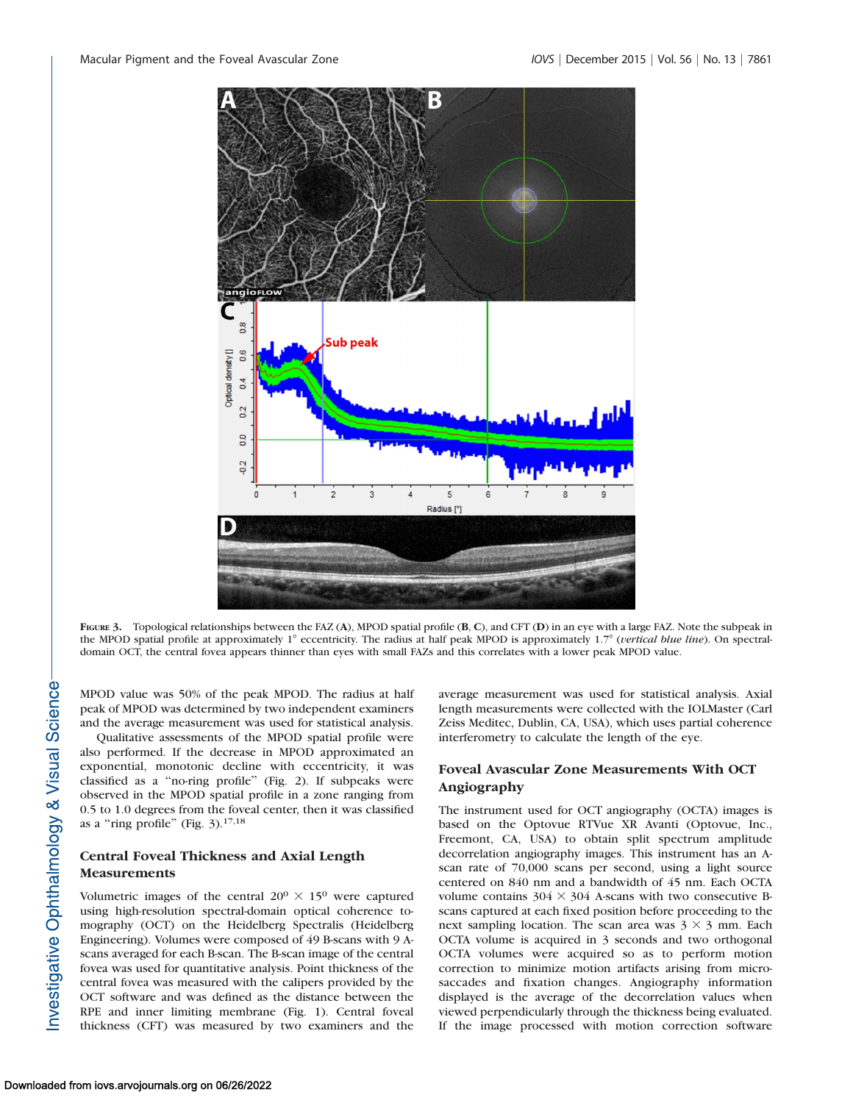

FIGURE 3. Topological relationships between the FAZ (A), MPOD spatial profile (B, C), and CFT (D) in an eye with a large FAZ. Note the subpeak in the MPOD spatial profile at approximately 1° eccentricity. The radius at half peak MPOD is approximately 1.7° (vertical blue line). On spectraldomain OCT, the central fovea appears thinner than eyes with small FAZs and this correlates with a lower peak MPOD value.

MPOD value was 50% of the peak MPOD. The radius at half peak of MPOD was determined by two independent examiners and the average measurement was used for statistical analysis.

Qualitative assessments of the MPOD spatial profile were also performed. If the decrease in MPOD approximated an exponential, monotonic decline with eccentricity, it was classified as a ''no-ring profile'' (Fig. 2). If subpeaks were observed in the MPOD spatial profile in a zone ranging from 0.5 to 1.0 degrees from the foveal center, then it was classified as a "ring profile" (Fig.  $3$ ).<sup>17,18</sup>

# Central Foveal Thickness and Axial Length **Measurements**

Volumetric images of the central  $20^0 \times 15^0$  were captured using high-resolution spectral-domain optical coherence tomography (OCT) on the Heidelberg Spectralis (Heidelberg Engineering). Volumes were composed of 49 B-scans with 9 Ascans averaged for each B-scan. The B-scan image of the central fovea was used for quantitative analysis. Point thickness of the central fovea was measured with the calipers provided by the OCT software and was defined as the distance between the RPE and inner limiting membrane (Fig. 1). Central foveal thickness (CFT) was measured by two examiners and the

average measurement was used for statistical analysis. Axial length measurements were collected with the IOLMaster (Carl Zeiss Meditec, Dublin, CA, USA), which uses partial coherence interferometry to calculate the length of the eye.

# Foveal Avascular Zone Measurements With OCT Angiography

The instrument used for OCT angiography (OCTA) images is based on the Optovue RTVue XR Avanti (Optovue, Inc., Freemont, CA, USA) to obtain split spectrum amplitude decorrelation angiography images. This instrument has an Ascan rate of 70,000 scans per second, using a light source centered on 840 nm and a bandwidth of 45 nm. Each OCTA volume contains  $304 \times 304$  A-scans with two consecutive Bscans captured at each fixed position before proceeding to the next sampling location. The scan area was  $3 \times 3$  mm. Each OCTA volume is acquired in 3 seconds and two orthogonal OCTA volumes were acquired so as to perform motion correction to minimize motion artifacts arising from microsaccades and fixation changes. Angiography information displayed is the average of the decorrelation values when viewed perpendicularly through the thickness being evaluated. If the image processed with motion correction software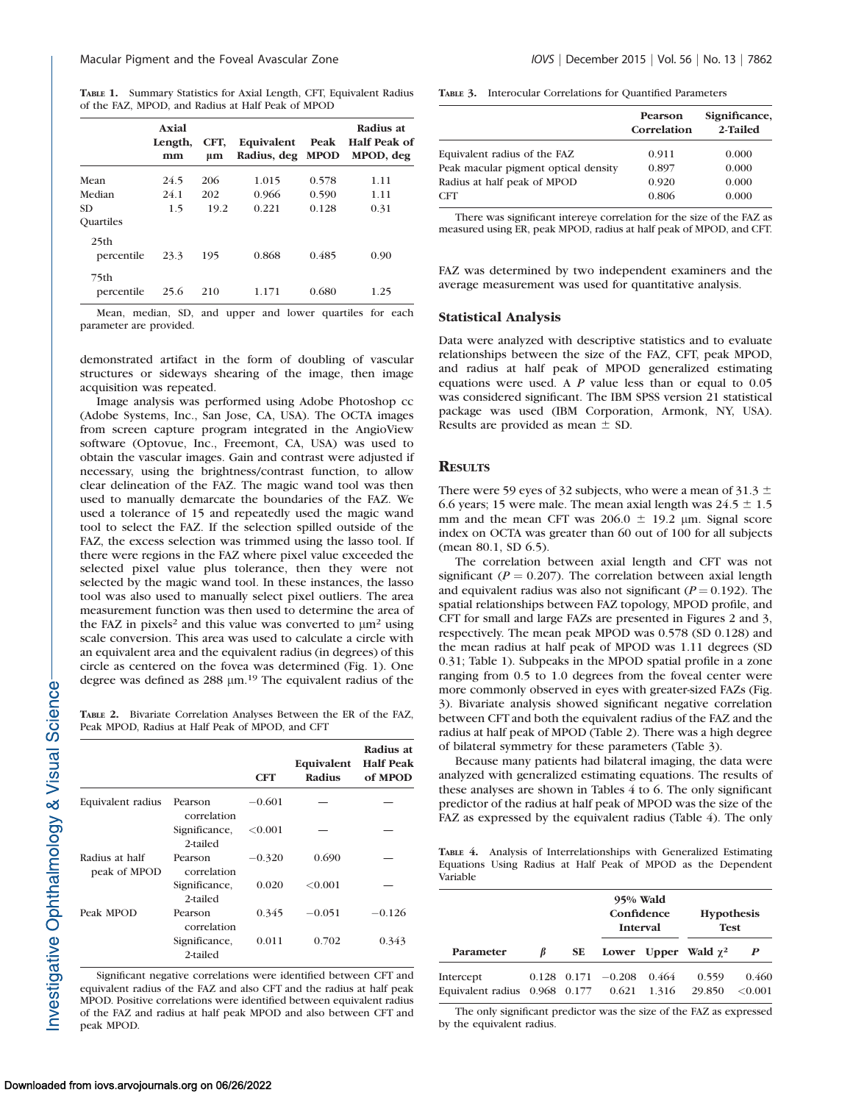| TABLE 1. Summary Statistics for Axial Length, CFT, Equivalent Radius |  |
|----------------------------------------------------------------------|--|
| of the FAZ, MPOD, and Radius at Half Peak of MPOD                    |  |

|                         | Axial<br>Length,<br>mm | CFT,<br>$\mu$ m |         |       | Radius at<br>Equivalent Peak Half Peak of<br>Radius, deg MPOD MPOD, deg |
|-------------------------|------------------------|-----------------|---------|-------|-------------------------------------------------------------------------|
| Mean                    | 24.5                   | 206             | 1.015   | 0.578 | 1.11                                                                    |
| Median                  | 241                    | 202             | 0.966   | 0.590 | 1.11                                                                    |
| SD.<br><b>Ouartiles</b> | 1.5                    | 19.2            | 0.221   | 0.128 | 0.31                                                                    |
| 25th<br>percentile      | 23.3                   | 195             | 0.868   | 0.485 | 0.90                                                                    |
| 75th<br>percentile      | 25.6                   | 210             | 1 1 7 1 | 0.680 | 1.25                                                                    |

Mean, median, SD, and upper and lower quartiles for each parameter are provided.

demonstrated artifact in the form of doubling of vascular structures or sideways shearing of the image, then image acquisition was repeated.

Image analysis was performed using Adobe Photoshop cc (Adobe Systems, Inc., San Jose, CA, USA). The OCTA images from screen capture program integrated in the AngioView software (Optovue, Inc., Freemont, CA, USA) was used to obtain the vascular images. Gain and contrast were adjusted if necessary, using the brightness/contrast function, to allow clear delineation of the FAZ. The magic wand tool was then used to manually demarcate the boundaries of the FAZ. We used a tolerance of 15 and repeatedly used the magic wand tool to select the FAZ. If the selection spilled outside of the FAZ, the excess selection was trimmed using the lasso tool. If there were regions in the FAZ where pixel value exceeded the selected pixel value plus tolerance, then they were not selected by the magic wand tool. In these instances, the lasso tool was also used to manually select pixel outliers. The area measurement function was then used to determine the area of the FAZ in pixels<sup>2</sup> and this value was converted to  $\mu$ m<sup>2</sup> using scale conversion. This area was used to calculate a circle with an equivalent area and the equivalent radius (in degrees) of this circle as centered on the fovea was determined (Fig. 1). One degree was defined as  $288 \mu m$ .<sup>19</sup> The equivalent radius of the

TABLE 2. Bivariate Correlation Analyses Between the ER of the FAZ, Peak MPOD, Radius at Half Peak of MPOD, and CFT

|                                |                           | <b>CFT</b>     | Equivalent<br><b>Radius</b> | Radius at<br><b>Half Peak</b><br>of MPOD |
|--------------------------------|---------------------------|----------------|-----------------------------|------------------------------------------|
| Equivalent radius              | Pearson<br>correlation    | $-0.601$       |                             |                                          |
|                                | Significance,<br>2-tailed | $<$ 0.001 $\,$ |                             |                                          |
| Radius at half<br>peak of MPOD | Pearson<br>correlation    | $-0.320$       | 0.690                       |                                          |
|                                | Significance,<br>2-tailed | 0.020          | < 0.001                     |                                          |
| Peak MPOD                      | Pearson<br>correlation    | 0.345          | $-0.051$                    | $-0.126$                                 |
|                                | Significance,<br>2-tailed | 0.011          | 0.702                       | 0.343                                    |

Significant negative correlations were identified between CFT and equivalent radius of the FAZ and also CFT and the radius at half peak MPOD. Positive correlations were identified between equivalent radius of the FAZ and radius at half peak MPOD and also between CFT and peak MPOD.

TABLE 3. Interocular Correlations for Quantified Parameters

|                                      | Pearson<br>Correlation | Significance,<br>2-Tailed |
|--------------------------------------|------------------------|---------------------------|
| Equivalent radius of the FAZ         | 0.911                  | 0.000                     |
| Peak macular pigment optical density | 0.897                  | 0.000                     |
| Radius at half peak of MPOD          | 0.920                  | 0.000                     |
| <b>CFT</b>                           | 0.806                  | 0.000                     |

There was significant intereye correlation for the size of the FAZ as measured using ER, peak MPOD, radius at half peak of MPOD, and CFT.

FAZ was determined by two independent examiners and the average measurement was used for quantitative analysis.

#### Statistical Analysis

Data were analyzed with descriptive statistics and to evaluate relationships between the size of the FAZ, CFT, peak MPOD, and radius at half peak of MPOD generalized estimating equations were used. A P value less than or equal to 0.05 was considered significant. The IBM SPSS version 21 statistical package was used (IBM Corporation, Armonk, NY, USA). Results are provided as mean  $\pm$  SD.

## **RESULTS**

There were 59 eyes of 32 subjects, who were a mean of 31.3  $\pm$ 6.6 years; 15 were male. The mean axial length was  $24.5 \pm 1.5$ mm and the mean CFT was  $206.0 \pm 19.2$  µm. Signal score index on OCTA was greater than 60 out of 100 for all subjects (mean 80.1, SD 6.5).

The correlation between axial length and CFT was not significant ( $P = 0.207$ ). The correlation between axial length and equivalent radius was also not significant ( $P = 0.192$ ). The spatial relationships between FAZ topology, MPOD profile, and CFT for small and large FAZs are presented in Figures 2 and 3, respectively. The mean peak MPOD was 0.578 (SD 0.128) and the mean radius at half peak of MPOD was 1.11 degrees (SD 0.31; Table 1). Subpeaks in the MPOD spatial profile in a zone ranging from 0.5 to 1.0 degrees from the foveal center were more commonly observed in eyes with greater-sized FAZs (Fig. 3). Bivariate analysis showed significant negative correlation between CFT and both the equivalent radius of the FAZ and the radius at half peak of MPOD (Table 2). There was a high degree of bilateral symmetry for these parameters (Table 3).

Because many patients had bilateral imaging, the data were analyzed with generalized estimating equations. The results of these analyses are shown in Tables 4 to 6. The only significant predictor of the radius at half peak of MPOD was the size of the FAZ as expressed by the equivalent radius (Table 4). The only

TABLE 4. Analysis of Interrelationships with Generalized Estimating Equations Using Radius at Half Peak of MPOD as the Dependent Variable

|                                                        |   |           | 95% Wald<br>Confidence<br>Interval |       | <b>Hypothesis</b><br><b>Test</b> |                  |
|--------------------------------------------------------|---|-----------|------------------------------------|-------|----------------------------------|------------------|
| <b>Parameter</b>                                       | К | <b>SE</b> |                                    |       | Lower Upper Wald $\gamma^2$      | P                |
| Intercept<br>Equivalent radius 0.968 0.177 0.621 1.316 |   |           | $0.128$ $0.171$ $-0.208$           | 0.464 | 0.559<br>29.850                  | 0.460<br>< 0.001 |

The only significant predictor was the size of the FAZ as expressed by the equivalent radius.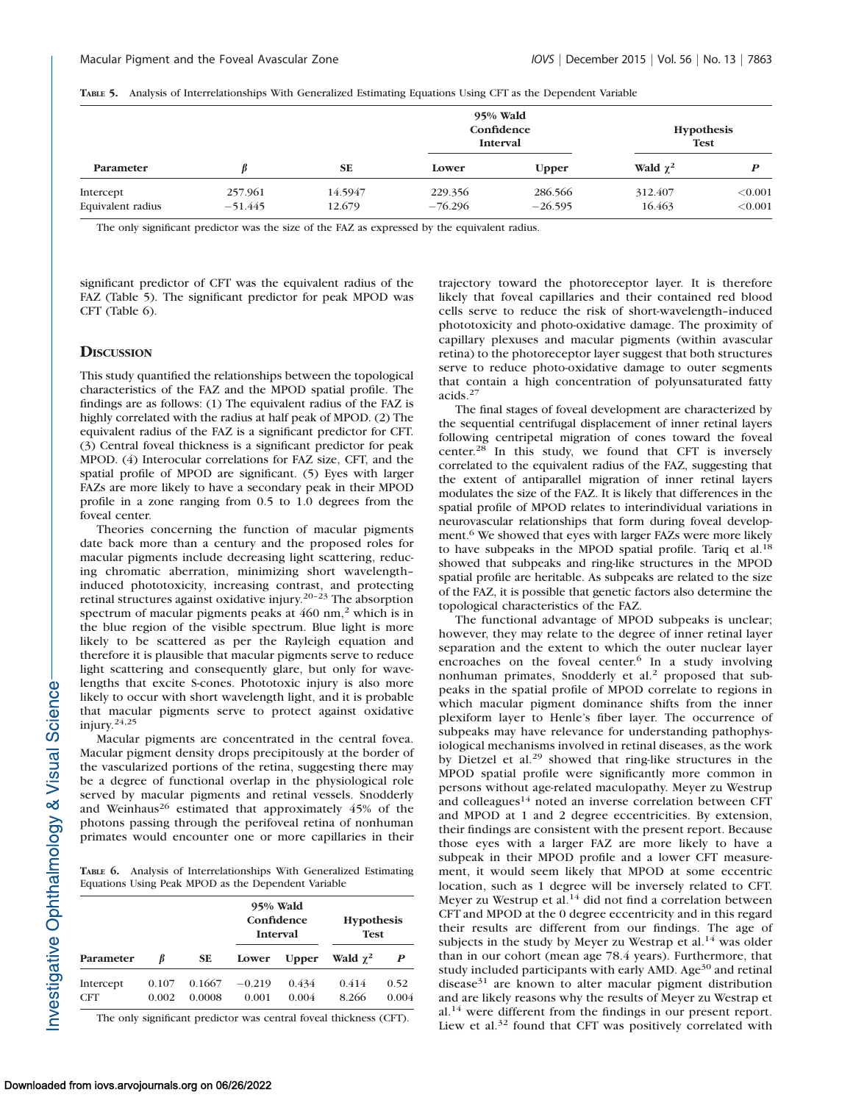|  | TABLE 5. Analysis of Interrelationships With Generalized Estimating Equations Using CFT as the Dependent Variable |  |  |  |  |
|--|-------------------------------------------------------------------------------------------------------------------|--|--|--|--|
|--|-------------------------------------------------------------------------------------------------------------------|--|--|--|--|

|                   |           | <b>SE</b> | 95% Wald<br>Confidence<br><b>Interval</b> |              | <b>Hypothesis</b><br><b>Test</b> |         |
|-------------------|-----------|-----------|-------------------------------------------|--------------|----------------------------------|---------|
| Parameter         |           |           | Lower                                     | <b>Upper</b> | Wald $\gamma^2$                  | D       |
| Intercept         | 257.961   | 14.5947   | 229.356                                   | 286.566      | 312.407                          | < 0.001 |
| Equivalent radius | $-51.445$ | 12.679    | $-76.296$                                 | $-26.595$    | 16.463                           | < 0.001 |

The only significant predictor was the size of the FAZ as expressed by the equivalent radius.

significant predictor of CFT was the equivalent radius of the FAZ (Table 5). The significant predictor for peak MPOD was CFT (Table 6).

## **DISCUSSION**

This study quantified the relationships between the topological characteristics of the FAZ and the MPOD spatial profile. The findings are as follows: (1) The equivalent radius of the FAZ is highly correlated with the radius at half peak of MPOD. (2) The equivalent radius of the FAZ is a significant predictor for CFT. (3) Central foveal thickness is a significant predictor for peak MPOD. (4) Interocular correlations for FAZ size, CFT, and the spatial profile of MPOD are significant. (5) Eyes with larger FAZs are more likely to have a secondary peak in their MPOD profile in a zone ranging from 0.5 to 1.0 degrees from the foveal center.

Theories concerning the function of macular pigments date back more than a century and the proposed roles for macular pigments include decreasing light scattering, reducing chromatic aberration, minimizing short wavelength– induced phototoxicity, increasing contrast, and protecting retinal structures against oxidative injury.20–23 The absorption spectrum of macular pigments peaks at  $460 \text{ nm}$ ,<sup>2</sup> which is in the blue region of the visible spectrum. Blue light is more likely to be scattered as per the Rayleigh equation and therefore it is plausible that macular pigments serve to reduce light scattering and consequently glare, but only for wavelengths that excite S-cones. Phototoxic injury is also more likely to occur with short wavelength light, and it is probable that macular pigments serve to protect against oxidative injury.24,25

Macular pigments are concentrated in the central fovea. Macular pigment density drops precipitously at the border of the vascularized portions of the retina, suggesting there may be a degree of functional overlap in the physiological role served by macular pigments and retinal vessels. Snodderly and Weinhaus<sup>26</sup> estimated that approximately  $45%$  of the photons passing through the perifoveal retina of nonhuman primates would encounter one or more capillaries in their

TABLE 6. Analysis of Interrelationships With Generalized Estimating Equations Using Peak MPOD as the Dependent Variable

|            |       |        | 95% Wald<br>Confidence<br><b>Interval</b> |              | <b>Hypothesis</b><br><b>Test</b> |       |
|------------|-------|--------|-------------------------------------------|--------------|----------------------------------|-------|
| Parameter  | В     | SЕ     | Lower                                     | <b>Upper</b> | Wald $\gamma^2$                  | P     |
| Intercept  | 0.107 | 0.1667 | $-0.219$                                  | 0.434        | 0.414                            | 0.52  |
| <b>CFT</b> | 0.002 | 0.0008 | 0.001                                     | 0.004        | 8 266                            | 0.004 |

The only significant predictor was central foveal thickness (CFT).

trajectory toward the photoreceptor layer. It is therefore likely that foveal capillaries and their contained red blood cells serve to reduce the risk of short-wavelength–induced phototoxicity and photo-oxidative damage. The proximity of capillary plexuses and macular pigments (within avascular retina) to the photoreceptor layer suggest that both structures serve to reduce photo-oxidative damage to outer segments that contain a high concentration of polyunsaturated fatty acids.<sup>27</sup>

The final stages of foveal development are characterized by the sequential centrifugal displacement of inner retinal layers following centripetal migration of cones toward the foveal center.<sup>28</sup> In this study, we found that CFT is inversely correlated to the equivalent radius of the FAZ, suggesting that the extent of antiparallel migration of inner retinal layers modulates the size of the FAZ. It is likely that differences in the spatial profile of MPOD relates to interindividual variations in neurovascular relationships that form during foveal development.<sup>6</sup> We showed that eyes with larger FAZs were more likely to have subpeaks in the MPOD spatial profile. Tariq et al.<sup>18</sup> showed that subpeaks and ring-like structures in the MPOD spatial profile are heritable. As subpeaks are related to the size of the FAZ, it is possible that genetic factors also determine the topological characteristics of the FAZ.

The functional advantage of MPOD subpeaks is unclear; however, they may relate to the degree of inner retinal layer separation and the extent to which the outer nuclear layer encroaches on the foveal center.<sup>6</sup> In a study involving nonhuman primates, Snodderly et al.<sup>2</sup> proposed that subpeaks in the spatial profile of MPOD correlate to regions in which macular pigment dominance shifts from the inner plexiform layer to Henle's fiber layer. The occurrence of subpeaks may have relevance for understanding pathophysiological mechanisms involved in retinal diseases, as the work by Dietzel et al.<sup>29</sup> showed that ring-like structures in the MPOD spatial profile were significantly more common in persons without age-related maculopathy. Meyer zu Westrup and colleagues $14$  noted an inverse correlation between CFT and MPOD at 1 and 2 degree eccentricities. By extension, their findings are consistent with the present report. Because those eyes with a larger FAZ are more likely to have a subpeak in their MPOD profile and a lower CFT measurement, it would seem likely that MPOD at some eccentric location, such as 1 degree will be inversely related to CFT. Meyer zu Westrup et al.<sup>14</sup> did not find a correlation between CFT and MPOD at the 0 degree eccentricity and in this regard their results are different from our findings. The age of subjects in the study by Meyer zu Westrap et al.<sup>14</sup> was older than in our cohort (mean age 78.4 years). Furthermore, that study included participants with early AMD. Age<sup>30</sup> and retinal disease<sup>31</sup> are known to alter macular pigment distribution and are likely reasons why the results of Meyer zu Westrap et al.<sup>14</sup> were different from the findings in our present report. Liew et al.<sup>32</sup> found that CFT was positively correlated with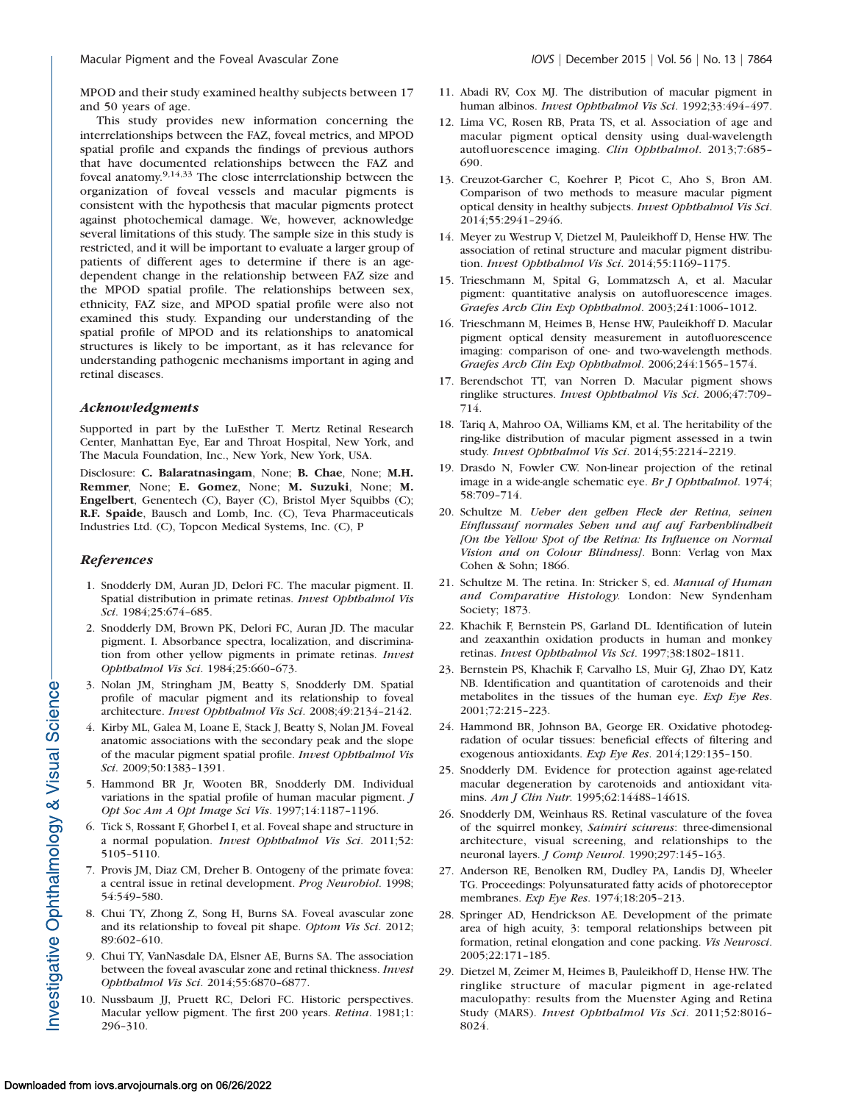MPOD and their study examined healthy subjects between 17 and 50 years of age.

This study provides new information concerning the interrelationships between the FAZ, foveal metrics, and MPOD spatial profile and expands the findings of previous authors that have documented relationships between the FAZ and foveal anatomy.9,14,33 The close interrelationship between the organization of foveal vessels and macular pigments is consistent with the hypothesis that macular pigments protect against photochemical damage. We, however, acknowledge several limitations of this study. The sample size in this study is restricted, and it will be important to evaluate a larger group of patients of different ages to determine if there is an agedependent change in the relationship between FAZ size and the MPOD spatial profile. The relationships between sex, ethnicity, FAZ size, and MPOD spatial profile were also not examined this study. Expanding our understanding of the spatial profile of MPOD and its relationships to anatomical structures is likely to be important, as it has relevance for understanding pathogenic mechanisms important in aging and retinal diseases.

#### Acknowledgments

Supported in part by the LuEsther T. Mertz Retinal Research Center, Manhattan Eye, Ear and Throat Hospital, New York, and The Macula Foundation, Inc., New York, New York, USA.

Disclosure: C. Balaratnasingam, None; B. Chae, None; M.H. Remmer, None; E. Gomez, None; M. Suzuki, None; M. Engelbert, Genentech (C), Bayer (C), Bristol Myer Squibbs (C); R.F. Spaide, Bausch and Lomb, Inc. (C), Teva Pharmaceuticals Industries Ltd. (C), Topcon Medical Systems, Inc. (C), P

### **References**

- 1. Snodderly DM, Auran JD, Delori FC. The macular pigment. II. Spatial distribution in primate retinas. Invest Ophthalmol Vis Sci. 1984;25:674–685.
- 2. Snodderly DM, Brown PK, Delori FC, Auran JD. The macular pigment. I. Absorbance spectra, localization, and discrimination from other yellow pigments in primate retinas. Invest Ophthalmol Vis Sci. 1984;25:660–673.
- 3. Nolan JM, Stringham JM, Beatty S, Snodderly DM. Spatial profile of macular pigment and its relationship to foveal architecture. Invest Ophthalmol Vis Sci. 2008;49:2134–2142.
- 4. Kirby ML, Galea M, Loane E, Stack J, Beatty S, Nolan JM. Foveal anatomic associations with the secondary peak and the slope of the macular pigment spatial profile. Invest Ophthalmol Vis Sci. 2009;50:1383–1391.
- 5. Hammond BR Jr, Wooten BR, Snodderly DM. Individual variations in the spatial profile of human macular pigment. J Opt Soc Am A Opt Image Sci Vis. 1997;14:1187–1196.
- 6. Tick S, Rossant F, Ghorbel I, et al. Foveal shape and structure in a normal population. Invest Ophthalmol Vis Sci. 2011;52: 5105–5110.
- 7. Provis JM, Diaz CM, Dreher B. Ontogeny of the primate fovea: a central issue in retinal development. Prog Neurobiol. 1998; 54:549–580.
- 8. Chui TY, Zhong Z, Song H, Burns SA. Foveal avascular zone and its relationship to foveal pit shape. Optom Vis Sci. 2012; 89:602–610.
- 9. Chui TY, VanNasdale DA, Elsner AE, Burns SA. The association between the foveal avascular zone and retinal thickness. Invest Ophthalmol Vis Sci. 2014;55:6870–6877.
- 10. Nussbaum JJ, Pruett RC, Delori FC. Historic perspectives. Macular yellow pigment. The first 200 years. Retina. 1981;1: 296–310.
- 11. Abadi RV, Cox MJ. The distribution of macular pigment in human albinos. Invest Ophthalmol Vis Sci. 1992;33:494–497.
- 12. Lima VC, Rosen RB, Prata TS, et al. Association of age and macular pigment optical density using dual-wavelength autofluorescence imaging. Clin Ophthalmol. 2013;7:685– 690.
- 13. Creuzot-Garcher C, Koehrer P, Picot C, Aho S, Bron AM. Comparison of two methods to measure macular pigment optical density in healthy subjects. Invest Ophthalmol Vis Sci. 2014;55:2941–2946.
- 14. Meyer zu Westrup V, Dietzel M, Pauleikhoff D, Hense HW. The association of retinal structure and macular pigment distribution. Invest Ophthalmol Vis Sci. 2014;55:1169-1175.
- 15. Trieschmann M, Spital G, Lommatzsch A, et al. Macular pigment: quantitative analysis on autofluorescence images. Graefes Arch Clin Exp Ophthalmol. 2003;241:1006–1012.
- 16. Trieschmann M, Heimes B, Hense HW, Pauleikhoff D. Macular pigment optical density measurement in autofluorescence imaging: comparison of one- and two-wavelength methods. Graefes Arch Clin Exp Ophthalmol. 2006;244:1565–1574.
- 17. Berendschot TT, van Norren D. Macular pigment shows ringlike structures. Invest Ophthalmol Vis Sci. 2006;47:709– 714.
- 18. Tariq A, Mahroo OA, Williams KM, et al. The heritability of the ring-like distribution of macular pigment assessed in a twin study. Invest Ophthalmol Vis Sci. 2014;55:2214–2219.
- 19. Drasdo N, Fowler CW. Non-linear projection of the retinal image in a wide-angle schematic eye. Br J Ophthalmol. 1974; 58:709–714.
- 20. Schultze M. Ueber den gelben Fleck der Retina, seinen Einflussauf normales Sehen und auf auf Farbenblindheit [On the Yellow Spot of the Retina: Its Influence on Normal Vision and on Colour Blindness]. Bonn: Verlag von Max Cohen & Sohn; 1866.
- 21. Schultze M. The retina. In: Stricker S, ed. Manual of Human and Comparative Histology. London: New Syndenham Society; 1873.
- 22. Khachik F, Bernstein PS, Garland DL. Identification of lutein and zeaxanthin oxidation products in human and monkey retinas. Invest Ophthalmol Vis Sci. 1997;38:1802–1811.
- 23. Bernstein PS, Khachik F, Carvalho LS, Muir GJ, Zhao DY, Katz NB. Identification and quantitation of carotenoids and their metabolites in the tissues of the human eye. Exp Eye Res. 2001;72:215–223.
- 24. Hammond BR, Johnson BA, George ER. Oxidative photodegradation of ocular tissues: beneficial effects of filtering and exogenous antioxidants. Exp Eye Res. 2014;129:135–150.
- 25. Snodderly DM. Evidence for protection against age-related macular degeneration by carotenoids and antioxidant vitamins. Am J Clin Nutr. 1995;62:1448S–1461S.
- 26. Snodderly DM, Weinhaus RS. Retinal vasculature of the fovea of the squirrel monkey, Saimiri sciureus: three-dimensional architecture, visual screening, and relationships to the neuronal layers. J Comp Neurol. 1990;297:145–163.
- 27. Anderson RE, Benolken RM, Dudley PA, Landis DJ, Wheeler TG. Proceedings: Polyunsaturated fatty acids of photoreceptor membranes. Exp Eye Res. 1974;18:205–213.
- 28. Springer AD, Hendrickson AE. Development of the primate area of high acuity, 3: temporal relationships between pit formation, retinal elongation and cone packing. Vis Neurosci. 2005;22:171–185.
- 29. Dietzel M, Zeimer M, Heimes B, Pauleikhoff D, Hense HW. The ringlike structure of macular pigment in age-related maculopathy: results from the Muenster Aging and Retina Study (MARS). Invest Ophthalmol Vis Sci. 2011;52:8016– 8024.

Investigative Ophthalmology & Visual Science